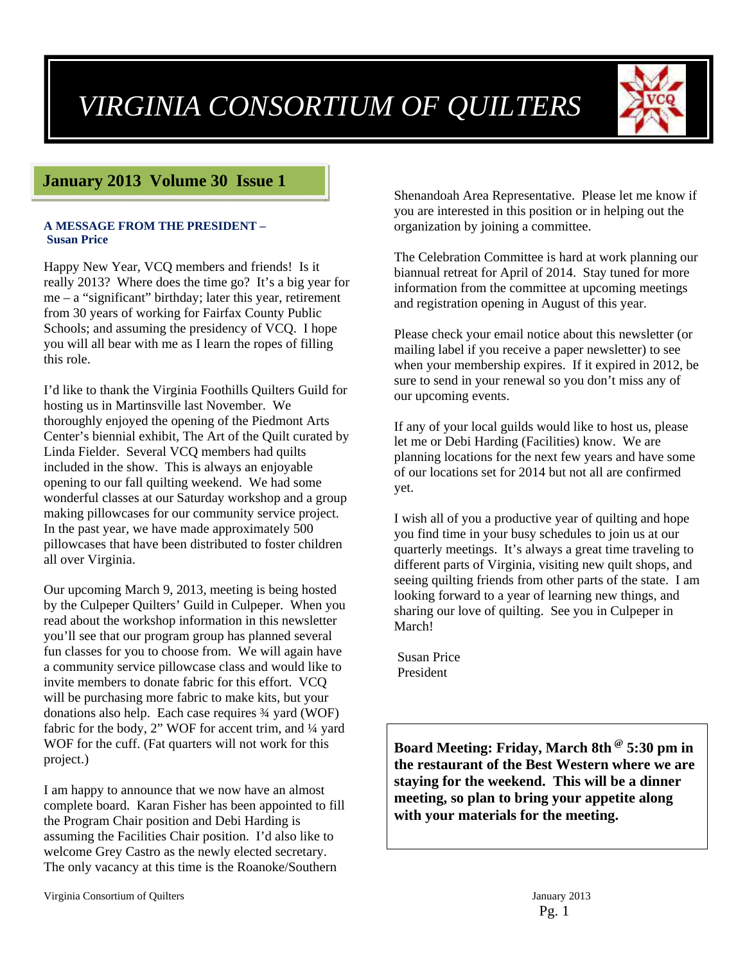# *VIRGINIA CONSORTIUM OF QUILTERS*



# **January 2013 Volume 30 Issue 1**

#### **A MESSAGE FROM THE PRESIDENT – Susan Price**

Happy New Year, VCQ members and friends! Is it really 2013? Where does the time go? It's a big year for me – a "significant" birthday; later this year, retirement from 30 years of working for Fairfax County Public Schools; and assuming the presidency of VCQ. I hope you will all bear with me as I learn the ropes of filling this role.

I'd like to thank the Virginia Foothills Quilters Guild for hosting us in Martinsville last November. We thoroughly enjoyed the opening of the Piedmont Arts Center's biennial exhibit, The Art of the Quilt curated by Linda Fielder. Several VCQ members had quilts included in the show. This is always an enjoyable opening to our fall quilting weekend. We had some wonderful classes at our Saturday workshop and a group making pillowcases for our community service project. In the past year, we have made approximately 500 pillowcases that have been distributed to foster children all over Virginia.

Our upcoming March 9, 2013, meeting is being hosted by the Culpeper Quilters' Guild in Culpeper. When you read about the workshop information in this newsletter you'll see that our program group has planned several fun classes for you to choose from. We will again have a community service pillowcase class and would like to invite members to donate fabric for this effort. VCQ will be purchasing more fabric to make kits, but your donations also help. Each case requires ¾ yard (WOF) fabric for the body, 2" WOF for accent trim, and 1/4 yard WOF for the cuff. (Fat quarters will not work for this project.)

I am happy to announce that we now have an almost complete board. Karan Fisher has been appointed to fill the Program Chair position and Debi Harding is assuming the Facilities Chair position. I'd also like to welcome Grey Castro as the newly elected secretary. The only vacancy at this time is the Roanoke/Southern

Shenandoah Area Representative. Please let me know if you are interested in this position or in helping out the organization by joining a committee.

The Celebration Committee is hard at work planning our biannual retreat for April of 2014. Stay tuned for more information from the committee at upcoming meetings and registration opening in August of this year.

Please check your email notice about this newsletter (or mailing label if you receive a paper newsletter) to see when your membership expires. If it expired in 2012, be sure to send in your renewal so you don't miss any of our upcoming events.

If any of your local guilds would like to host us, please let me or Debi Harding (Facilities) know. We are planning locations for the next few years and have some of our locations set for 2014 but not all are confirmed yet.

I wish all of you a productive year of quilting and hope you find time in your busy schedules to join us at our quarterly meetings. It's always a great time traveling to different parts of Virginia, visiting new quilt shops, and seeing quilting friends from other parts of the state. I am looking forward to a year of learning new things, and sharing our love of quilting. See you in Culpeper in March!

 Susan Price President

**Board Meeting: Friday, March 8th @ 5:30 pm in the restaurant of the Best Western where we are staying for the weekend. This will be a dinner meeting, so plan to bring your appetite along with your materials for the meeting.**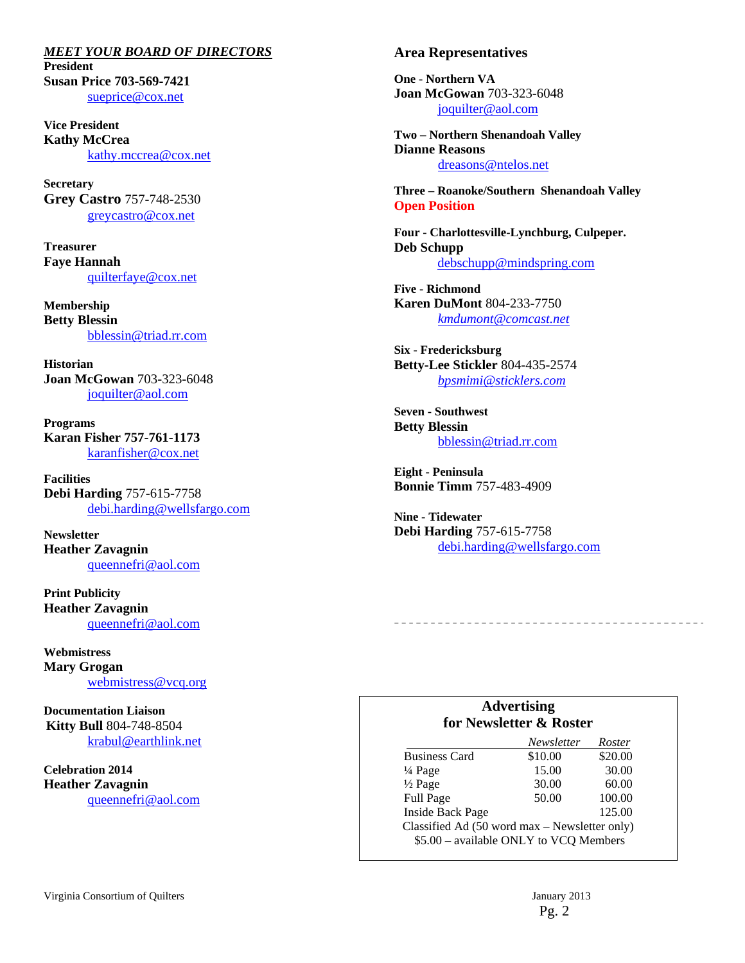*MEET YOUR BOARD OF DIRECTORS*  **President Susan Price 703-569-7421**  sueprice@cox.net

**Vice President Kathy McCrea**  kathy.mccrea@cox.net

**Secretary Grey Castro** 757-748-2530 greycastro@cox.net

**Treasurer Faye Hannah**  quilterfaye@cox.net

**Membership Betty Blessin**  bblessin@triad.rr.com

**Historian Joan McGowan** 703-323-6048 joquilter@aol.com

**Programs Karan Fisher 757-761-1173**  karanfisher@cox.net

**Facilities Debi Harding** 757-615-7758 debi.harding@wellsfargo.com

**Newsletter Heather Zavagnin**  queennefri@aol.com

**Print Publicity Heather Zavagnin**  queennefri@aol.com

**Webmistress Mary Grogan**  webmistress@vcq.org

**Documentation Liaison Kitty Bull** 804-748-8504 krabul@earthlink.net

**Celebration 2014 Heather Zavagnin**  queennefri@aol.com

#### **Area Representatives**

**One - Northern VA Joan McGowan** 703-323-6048 joquilter@aol.com

**Two – Northern Shenandoah Valley Dianne Reasons** dreasons@ntelos.net

**Three – Roanoke/Southern Shenandoah Valley Open Position** 

**Four - Charlottesville-Lynchburg, Culpeper. Deb Schupp** debschupp@mindspring.com

**Five - Richmond Karen DuMont** 804-233-7750 *kmdumont@comcast.net*

**Six - Fredericksburg Betty-Lee Stickler** 804-435-2574 *bpsmimi@sticklers.com*

**Seven - Southwest Betty Blessin**  bblessin@triad.rr.com

**Eight - Peninsula Bonnie Timm** 757-483-4909

**Nine - Tidewater Debi Harding** 757-615-7758 debi.harding@wellsfargo.com

#### **Advertising for Newsletter & Roster**

|                                                                                         | Newsletter | Roster  |  |
|-----------------------------------------------------------------------------------------|------------|---------|--|
| <b>Business Card</b>                                                                    | \$10.00    | \$20.00 |  |
| $\frac{1}{4}$ Page                                                                      | 15.00      | 30.00   |  |
| $\frac{1}{2}$ Page                                                                      | 30.00      | 60.00   |  |
| Full Page                                                                               | 50.00      | 100.00  |  |
| <b>Inside Back Page</b>                                                                 |            | 125.00  |  |
| Classified Ad (50 word max - Newsletter only)<br>\$5.00 - available ONLY to VCQ Members |            |         |  |
|                                                                                         |            |         |  |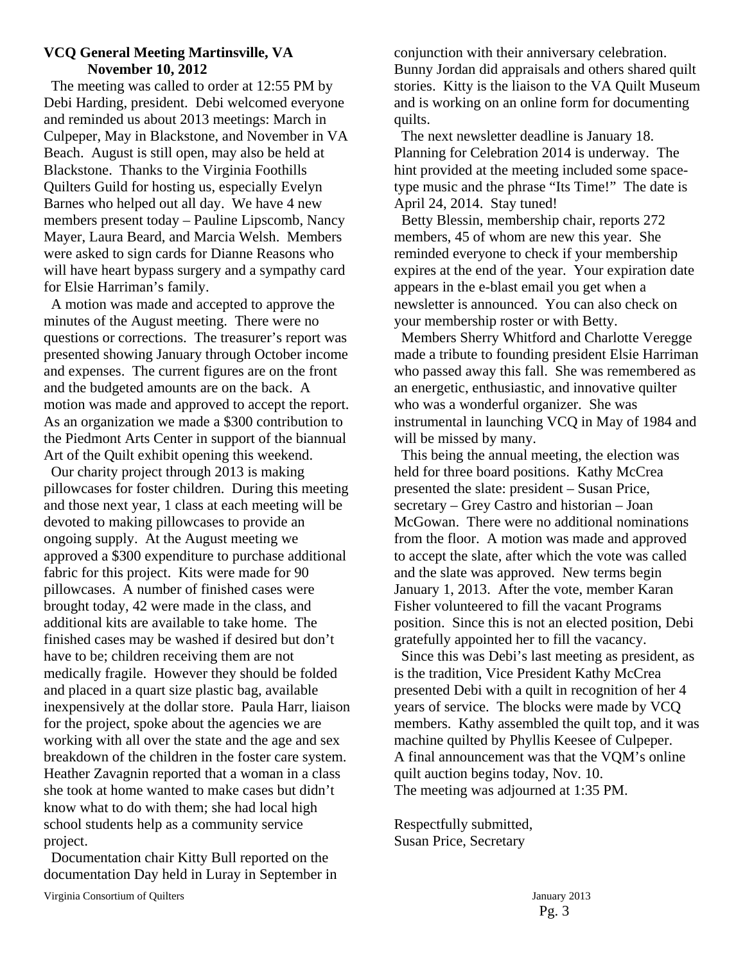#### **VCQ General Meeting Martinsville, VA November 10, 2012**

 The meeting was called to order at 12:55 PM by Debi Harding, president. Debi welcomed everyone and reminded us about 2013 meetings: March in Culpeper, May in Blackstone, and November in VA Beach. August is still open, may also be held at Blackstone. Thanks to the Virginia Foothills Quilters Guild for hosting us, especially Evelyn Barnes who helped out all day. We have 4 new members present today – Pauline Lipscomb, Nancy Mayer, Laura Beard, and Marcia Welsh. Members were asked to sign cards for Dianne Reasons who will have heart bypass surgery and a sympathy card for Elsie Harriman's family.

 A motion was made and accepted to approve the minutes of the August meeting. There were no questions or corrections. The treasurer's report was presented showing January through October income and expenses. The current figures are on the front and the budgeted amounts are on the back. A motion was made and approved to accept the report. As an organization we made a \$300 contribution to the Piedmont Arts Center in support of the biannual Art of the Quilt exhibit opening this weekend.

 Our charity project through 2013 is making pillowcases for foster children. During this meeting and those next year, 1 class at each meeting will be devoted to making pillowcases to provide an ongoing supply. At the August meeting we approved a \$300 expenditure to purchase additional fabric for this project. Kits were made for 90 pillowcases. A number of finished cases were brought today, 42 were made in the class, and additional kits are available to take home. The finished cases may be washed if desired but don't have to be; children receiving them are not medically fragile. However they should be folded and placed in a quart size plastic bag, available inexpensively at the dollar store. Paula Harr, liaison for the project, spoke about the agencies we are working with all over the state and the age and sex breakdown of the children in the foster care system. Heather Zavagnin reported that a woman in a class she took at home wanted to make cases but didn't know what to do with them; she had local high school students help as a community service project.

 Documentation chair Kitty Bull reported on the documentation Day held in Luray in September in conjunction with their anniversary celebration. Bunny Jordan did appraisals and others shared quilt stories. Kitty is the liaison to the VA Quilt Museum and is working on an online form for documenting quilts.

 The next newsletter deadline is January 18. Planning for Celebration 2014 is underway. The hint provided at the meeting included some spacetype music and the phrase "Its Time!" The date is April 24, 2014. Stay tuned!

 Betty Blessin, membership chair, reports 272 members, 45 of whom are new this year. She reminded everyone to check if your membership expires at the end of the year. Your expiration date appears in the e-blast email you get when a newsletter is announced. You can also check on your membership roster or with Betty.

 Members Sherry Whitford and Charlotte Veregge made a tribute to founding president Elsie Harriman who passed away this fall. She was remembered as an energetic, enthusiastic, and innovative quilter who was a wonderful organizer. She was instrumental in launching VCQ in May of 1984 and will be missed by many.

 This being the annual meeting, the election was held for three board positions. Kathy McCrea presented the slate: president – Susan Price, secretary – Grey Castro and historian – Joan McGowan. There were no additional nominations from the floor. A motion was made and approved to accept the slate, after which the vote was called and the slate was approved. New terms begin January 1, 2013. After the vote, member Karan Fisher volunteered to fill the vacant Programs position. Since this is not an elected position, Debi gratefully appointed her to fill the vacancy.

 Since this was Debi's last meeting as president, as is the tradition, Vice President Kathy McCrea presented Debi with a quilt in recognition of her 4 years of service. The blocks were made by VCQ members. Kathy assembled the quilt top, and it was machine quilted by Phyllis Keesee of Culpeper. A final announcement was that the VQM's online quilt auction begins today, Nov. 10. The meeting was adjourned at 1:35 PM.

Respectfully submitted, Susan Price, Secretary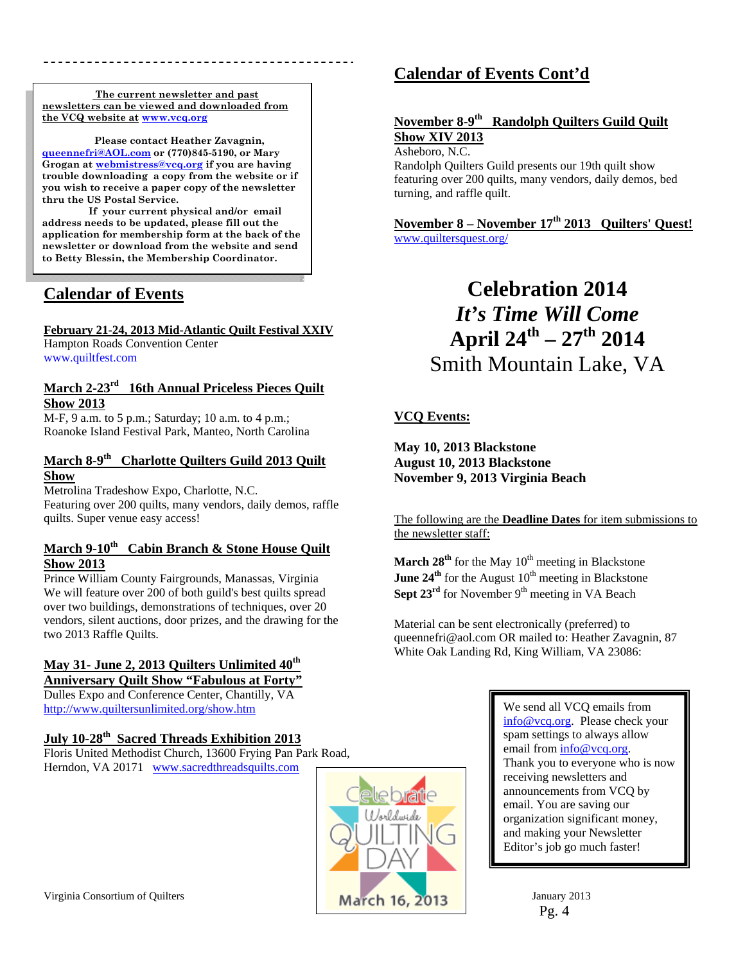**The current newsletter and past newsletters can be viewed and downloaded from the VCQ website at www.vcq.org**

 **Please contact Heather Zavagnin, queennefri@AOL.com or (770)845-5190, or Mary Grogan at webmistress@vcq.org if you are having trouble downloading a copy from the website or if you wish to receive a paper copy of the newsletter thru the US Postal Service.** 

 **If your current physical and/or email address needs to be updated, please fill out the application for membership form at the back of the newsletter or download from the website and send to Betty Blessin, the Membership Coordinator.** 

# **Calendar of Events**

#### **February 21-24, 2013 Mid-Atlantic Quilt Festival XXIV**

Hampton Roads Convention Center www.quiltfest.com

#### **March 2-23rd 16th Annual Priceless Pieces Quilt Show 2013**

M-F, 9 a.m. to 5 p.m.; Saturday; 10 a.m. to 4 p.m.; Roanoke Island Festival Park, Manteo, North Carolina

#### **March 8-9th Charlotte Quilters Guild 2013 Quilt Show**

Metrolina Tradeshow Expo, Charlotte, N.C. Featuring over 200 quilts, many vendors, daily demos, raffle quilts. Super venue easy access!

#### **March 9-10th Cabin Branch & Stone House Quilt Show 2013**

Prince William County Fairgrounds, Manassas, Virginia We will feature over 200 of both guild's best quilts spread over two buildings, demonstrations of techniques, over 20 vendors, silent auctions, door prizes, and the drawing for the two 2013 Raffle Quilts.

# May 31- June 2, 2013 Quilters Unlimited  $40^{\text{th}}$

**Anniversary Quilt Show "Fabulous at Forty"**  Dulles Expo and Conference Center, Chantilly, VA http://www.quiltersunlimited.org/show.htm

### **July 10-28th Sacred Threads Exhibition 2013**

Floris United Methodist Church, 13600 Frying Pan Park Road, Herndon, VA 20171 www.sacredthreadsquilts.com



# **Calendar of Events Cont'd**

### **November 8-9th Randolph Quilters Guild Quilt Show XIV 2013**

Asheboro, N.C.

Randolph Quilters Guild presents our 19th quilt show featuring over 200 quilts, many vendors, daily demos, bed turning, and raffle quilt.

**November 8 – November 17th 2013 Quilters' Quest!**  www.quiltersquest.org/

# **Celebration 2014**  *It's Time Will Come* **April 24th – 27th 2014**  Smith Mountain Lake, VA

# **VCQ Events:**

**May 10, 2013 Blackstone August 10, 2013 Blackstone November 9, 2013 Virginia Beach** 

#### The following are the **Deadline Dates** for item submissions to the newsletter staff:

**March 28<sup>th</sup>** for the May  $10^{th}$  meeting in Blackstone **June**  $24^{\text{th}}$  for the August  $10^{\text{th}}$  meeting in Blackstone **Sept 23<sup>rd</sup>** for November  $9<sup>th</sup>$  meeting in VA Beach

Material can be sent electronically (preferred) to queennefri@aol.com OR mailed to: Heather Zavagnin, 87 White Oak Landing Rd, King William, VA 23086:

> We send all VCQ emails from info@vcq.org. Please check your spam settings to always allow email from info@vcq.org. Thank you to everyone who is now receiving newsletters and announcements from VCQ by email. You are saving our organization significant money, and making your Newsletter Editor's job go much faster!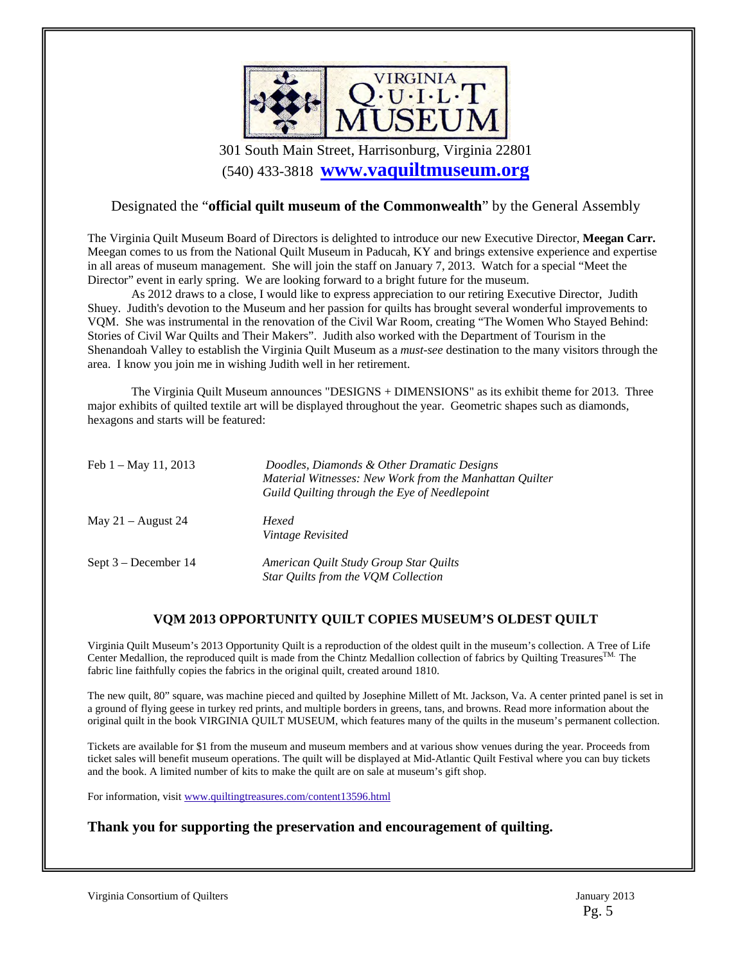

301 South Main Street, Harrisonburg, Virginia 22801 (540) 433-3818 **www.vaquiltmuseum.org**

#### Designated the "**official quilt museum of the Commonwealth**" by the General Assembly

The Virginia Quilt Museum Board of Directors is delighted to introduce our new Executive Director, **Meegan Carr.**  Meegan comes to us from the National Quilt Museum in Paducah, KY and brings extensive experience and expertise in all areas of museum management. She will join the staff on January 7, 2013. Watch for a special "Meet the Director" event in early spring. We are looking forward to a bright future for the museum.

 As 2012 draws to a close, I would like to express appreciation to our retiring Executive Director, Judith Shuey. Judith's devotion to the Museum and her passion for quilts has brought several wonderful improvements to VQM. She was instrumental in the renovation of the Civil War Room, creating "The Women Who Stayed Behind: Stories of Civil War Quilts and Their Makers". Judith also worked with the Department of Tourism in the Shenandoah Valley to establish the Virginia Quilt Museum as a *must-see* destination to the many visitors through the area. I know you join me in wishing Judith well in her retirement.

 The Virginia Quilt Museum announces "DESIGNS + DIMENSIONS" as its exhibit theme for 2013. Three major exhibits of quilted textile art will be displayed throughout the year. Geometric shapes such as diamonds, hexagons and starts will be featured:

| Feb $1 - May 11, 2013$ | Doodles, Diamonds & Other Dramatic Designs<br>Material Witnesses: New Work from the Manhattan Quilter<br>Guild Quilting through the Eye of Needlepoint |
|------------------------|--------------------------------------------------------------------------------------------------------------------------------------------------------|
| May $21 -$ August 24   | Hexed<br>Vintage Revisited                                                                                                                             |
| Sept $3 - December 14$ | American Ouilt Study Group Star Ouilts<br>Star Quilts from the VQM Collection                                                                          |

#### **VQM 2013 OPPORTUNITY QUILT COPIES MUSEUM'S OLDEST QUILT**

Virginia Quilt Museum's 2013 Opportunity Quilt is a reproduction of the oldest quilt in the museum's collection. A Tree of Life Center Medallion, the reproduced quilt is made from the Chintz Medallion collection of fabrics by Quilting Treasures<sup>TM.</sup> The fabric line faithfully copies the fabrics in the original quilt, created around 1810.

The new quilt, 80" square, was machine pieced and quilted by Josephine Millett of Mt. Jackson, Va. A center printed panel is set in a ground of flying geese in turkey red prints, and multiple borders in greens, tans, and browns. Read more information about the original quilt in the book VIRGINIA QUILT MUSEUM, which features many of the quilts in the museum's permanent collection.

Tickets are available for \$1 from the museum and museum members and at various show venues during the year. Proceeds from ticket sales will benefit museum operations. The quilt will be displayed at Mid-Atlantic Quilt Festival where you can buy tickets and the book. A limited number of kits to make the quilt are on sale at museum's gift shop.

For information, visit www.quiltingtreasures.com/content13596.html

#### **Thank you for supporting the preservation and encouragement of quilting.**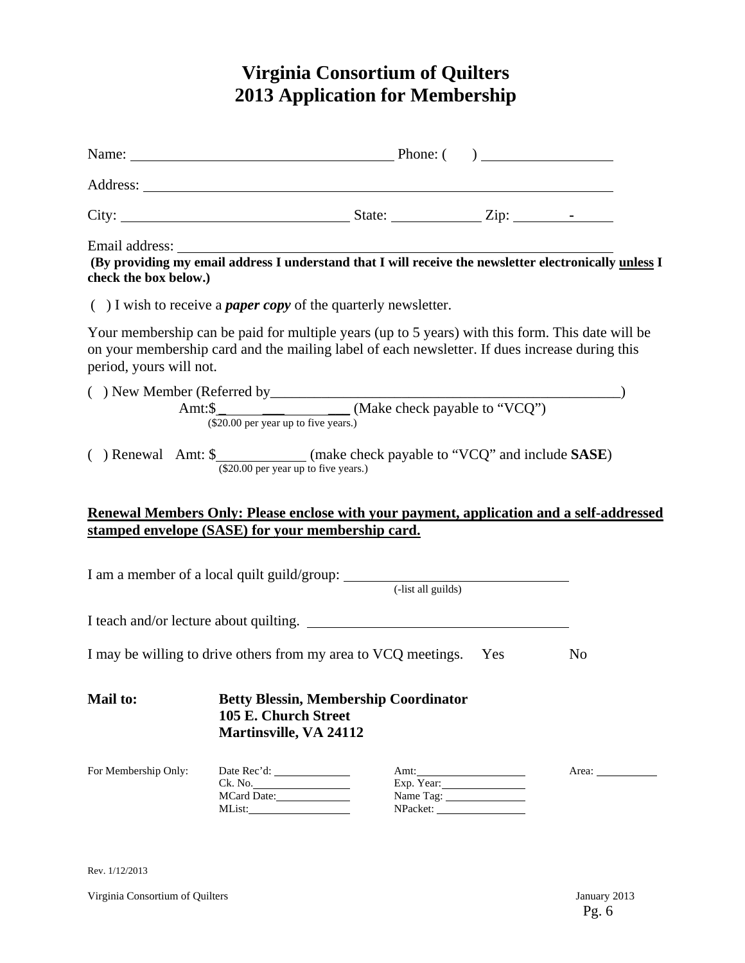# **Virginia Consortium of Quilters 2013 Application for Membership**

|                         | Name: $\qquad \qquad$ Phone: $\qquad \qquad$ Phone: $\qquad \qquad$                                                                                                                                    |                                 |                |
|-------------------------|--------------------------------------------------------------------------------------------------------------------------------------------------------------------------------------------------------|---------------------------------|----------------|
|                         |                                                                                                                                                                                                        |                                 |                |
|                         |                                                                                                                                                                                                        |                                 |                |
| check the box below.)   | Email address: The address of the set of the set of the set of the set of the set of the set of the providing my email address I understand that I will receive the newsletter electronically unless I |                                 |                |
|                         | $( )$ I wish to receive a <i>paper copy</i> of the quarterly newsletter.                                                                                                                               |                                 |                |
| period, yours will not. | Your membership can be paid for multiple years (up to 5 years) with this form. This date will be<br>on your membership card and the mailing label of each newsletter. If dues increase during this     |                                 |                |
|                         | ( ) New Member (Referred by<br>Amt: $\frac{\text{Amt:}\$}{\text{(000000)}\$}$ (Make check payable to "VCQ")                                                                                            |                                 |                |
|                         | ( ) Renewal Amt: $\frac{\text{S}}{\text{($20.00 per year up to five years.)}}$ (make check payable to "VCQ" and include <b>SASE</b> )                                                                  |                                 |                |
|                         | Renewal Members Only: Please enclose with your payment, application and a self-addressed                                                                                                               |                                 |                |
|                         | stamped envelope (SASE) for your membership card.                                                                                                                                                      |                                 |                |
|                         |                                                                                                                                                                                                        |                                 |                |
|                         | I teach and/or lecture about quilting.                                                                                                                                                                 |                                 |                |
|                         | I may be willing to drive others from my area to VCQ meetings. Yes                                                                                                                                     |                                 | N <sub>o</sub> |
| <b>Mail to:</b>         | <b>Betty Blessin, Membership Coordinator</b><br>105 E. Church Street<br><b>Martinsville, VA 24112</b>                                                                                                  |                                 |                |
| For Membership Only:    | Ck. No.<br>MCard Date:                                                                                                                                                                                 | Amt:<br>Exp. Year:<br>Name Tag: | Area: 1988     |

Rev. 1/12/2013

Virginia Consortium of Quilters January 2013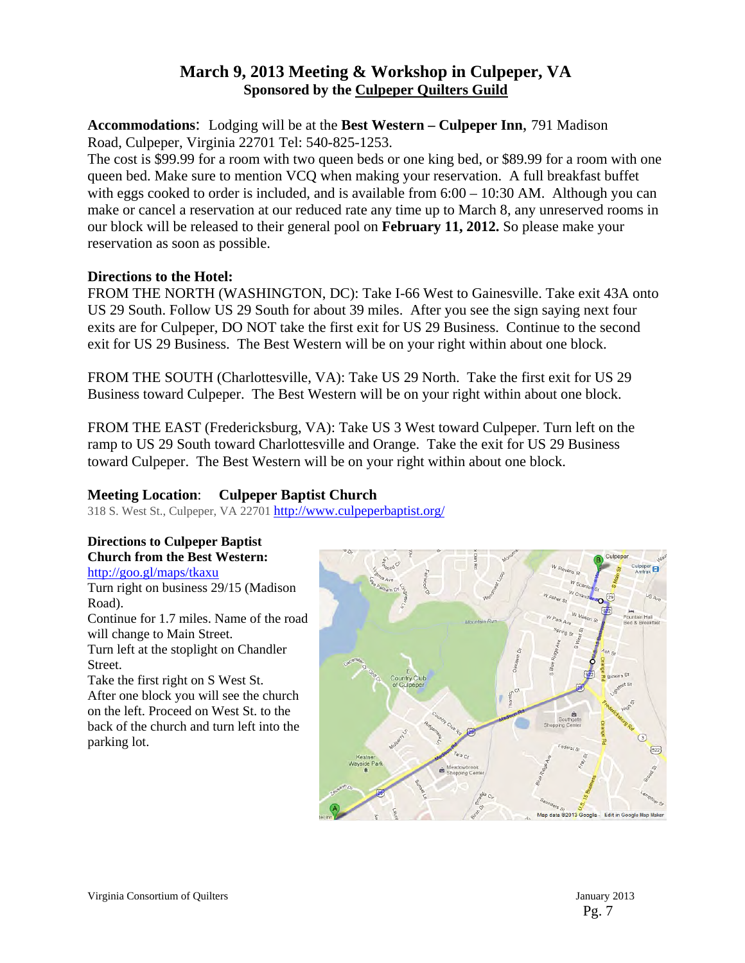# **March 9, 2013 Meeting & Workshop in Culpeper, VA Sponsored by the Culpeper Quilters Guild**

**Accommodations**: Lodging will be at the **Best Western – Culpeper Inn**, 791 Madison Road, Culpeper, Virginia 22701 Tel: 540-825-1253.

The cost is \$99.99 for a room with two queen beds or one king bed, or \$89.99 for a room with one queen bed. Make sure to mention VCQ when making your reservation. A full breakfast buffet with eggs cooked to order is included, and is available from  $6:00 - 10:30$  AM. Although you can make or cancel a reservation at our reduced rate any time up to March 8, any unreserved rooms in our block will be released to their general pool on **February 11, 2012.** So please make your reservation as soon as possible.

#### **Directions to the Hotel:**

FROM THE NORTH (WASHINGTON, DC): Take I-66 West to Gainesville. Take exit 43A onto US 29 South. Follow US 29 South for about 39 miles. After you see the sign saying next four exits are for Culpeper, DO NOT take the first exit for US 29 Business. Continue to the second exit for US 29 Business. The Best Western will be on your right within about one block.

FROM THE SOUTH (Charlottesville, VA): Take US 29 North. Take the first exit for US 29 Business toward Culpeper. The Best Western will be on your right within about one block.

FROM THE EAST (Fredericksburg, VA): Take US 3 West toward Culpeper. Turn left on the ramp to US 29 South toward Charlottesville and Orange. Take the exit for US 29 Business toward Culpeper. The Best Western will be on your right within about one block.

### **Meeting Location**: **Culpeper Baptist Church**

318 S. West St., Culpeper, VA 22701 http://www.culpeperbaptist.org/

# **Directions to Culpeper Baptist Church from the Best Western:**

http://goo.gl/maps/tkaxu Turn right on business 29/15 (Madison

Road). Continue for 1.7 miles. Name of the road will change to Main Street. Turn left at the stoplight on Chandler Street.

Take the first right on S West St. After one block you will see the church on the left. Proceed on West St. to the back of the church and turn left into the parking lot.



Pg. 7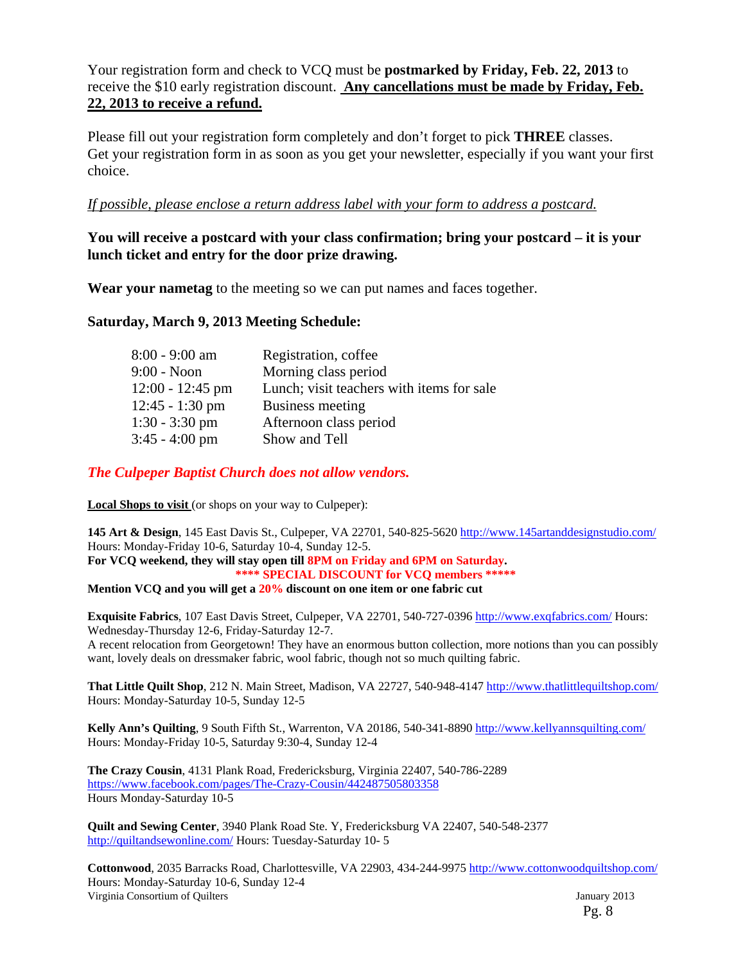Your registration form and check to VCQ must be **postmarked by Friday, Feb. 22, 2013** to receive the \$10 early registration discount. **Any cancellations must be made by Friday, Feb. 22, 2013 to receive a refund.**

Please fill out your registration form completely and don't forget to pick **THREE** classes. Get your registration form in as soon as you get your newsletter, especially if you want your first choice.

### *If possible, please enclose a return address label with your form to address a postcard.*

### **You will receive a postcard with your class confirmation; bring your postcard – it is your lunch ticket and entry for the door prize drawing.**

**Wear your nametag** to the meeting so we can put names and faces together.

#### **Saturday, March 9, 2013 Meeting Schedule:**

| $8:00 - 9:00$ am   | Registration, coffee                      |
|--------------------|-------------------------------------------|
| $9:00 - N$ oon     | Morning class period                      |
| $12:00 - 12:45$ pm | Lunch; visit teachers with items for sale |
| $12:45 - 1:30$ pm  | Business meeting                          |
| $1:30 - 3:30$ pm   | Afternoon class period                    |
| $3:45 - 4:00$ pm   | Show and Tell                             |

*The Culpeper Baptist Church does not allow vendors.* 

**Local Shops to visit** (or shops on your way to Culpeper):

**145 Art & Design**, 145 East Davis St., Culpeper, VA 22701, 540-825-5620 http://www.145artanddesignstudio.com/ Hours: Monday-Friday 10-6, Saturday 10-4, Sunday 12-5. **For VCQ weekend, they will stay open till 8PM on Friday and 6PM on Saturday. \*\*\*\* SPECIAL DISCOUNT for VCQ members \*\*\*\*\*** 

**Mention VCQ and you will get a 20% discount on one item or one fabric cut** 

**Exquisite Fabrics**, 107 East Davis Street, Culpeper, VA 22701, 540-727-0396 http://www.exqfabrics.com/ Hours: Wednesday-Thursday 12-6, Friday-Saturday 12-7. A recent relocation from Georgetown! They have an enormous button collection, more notions than you can possibly

want, lovely deals on dressmaker fabric, wool fabric, though not so much quilting fabric.

**That Little Quilt Shop**, 212 N. Main Street, Madison, VA 22727, 540-948-4147 http://www.thatlittlequiltshop.com/ Hours: Monday-Saturday 10-5, Sunday 12-5

**Kelly Ann's Quilting**, 9 South Fifth St., Warrenton, VA 20186, 540-341-8890 http://www.kellyannsquilting.com/ Hours: Monday-Friday 10-5, Saturday 9:30-4, Sunday 12-4

**The Crazy Cousin**, 4131 Plank Road, Fredericksburg, Virginia 22407, 540-786-2289 https://www.facebook.com/pages/The-Crazy-Cousin/442487505803358 Hours Monday-Saturday 10-5

**Quilt and Sewing Center**, 3940 Plank Road Ste. Y, Fredericksburg VA 22407, 540-548-2377 http://quiltandsewonline.com/ Hours: Tuesday-Saturday 10- 5

Virginia Consortium of Quilters January 2013 **Cottonwood**, 2035 Barracks Road, Charlottesville, VA 22903, 434-244-9975 http://www.cottonwoodquiltshop.com/ Hours: Monday-Saturday 10-6, Sunday 12-4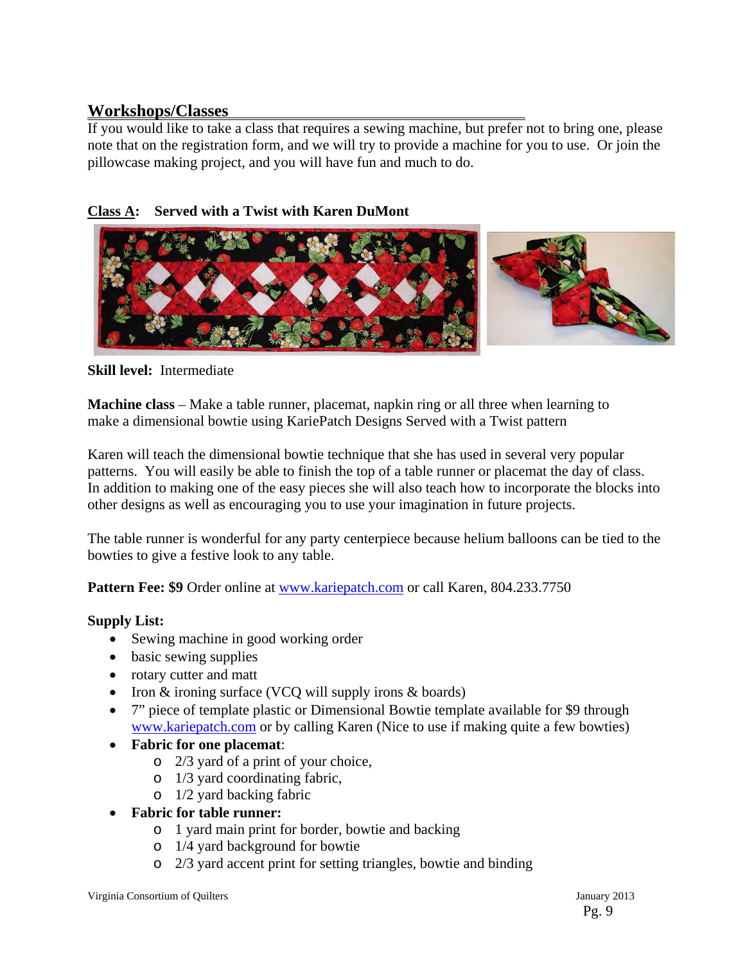# **Workshops/Classes**

If you would like to take a class that requires a sewing machine, but prefer not to bring one, please note that on the registration form, and we will try to provide a machine for you to use. Or join the pillowcase making project, and you will have fun and much to do.

# **Class A: Served with a Twist with Karen DuMont**



### **Skill level:** Intermediate

**Machine class** – Make a table runner, placemat, napkin ring or all three when learning to make a dimensional bowtie using KariePatch Designs Served with a Twist pattern

Karen will teach the dimensional bowtie technique that she has used in several very popular patterns. You will easily be able to finish the top of a table runner or placemat the day of class. In addition to making one of the easy pieces she will also teach how to incorporate the blocks into other designs as well as encouraging you to use your imagination in future projects.

The table runner is wonderful for any party centerpiece because helium balloons can be tied to the bowties to give a festive look to any table.

**Pattern Fee: \$9** Order online at www.kariepatch.com or call Karen, 804.233.7750

### **Supply List:**

- Sewing machine in good working order
- basic sewing supplies
- rotary cutter and matt
- Iron  $&$  ironing surface (VCQ will supply irons  $&$  boards)
- 7" piece of template plastic or Dimensional Bowtie template available for \$9 through www.kariepatch.com or by calling Karen (Nice to use if making quite a few bowties)
- **Fabric for one placemat**:
	- o 2/3 yard of a print of your choice,
	- o 1/3 yard coordinating fabric,
	- o 1/2 yard backing fabric
- **Fabric for table runner:**
	- o 1 yard main print for border, bowtie and backing
	- o 1/4 yard background for bowtie
	- o 2/3 yard accent print for setting triangles, bowtie and binding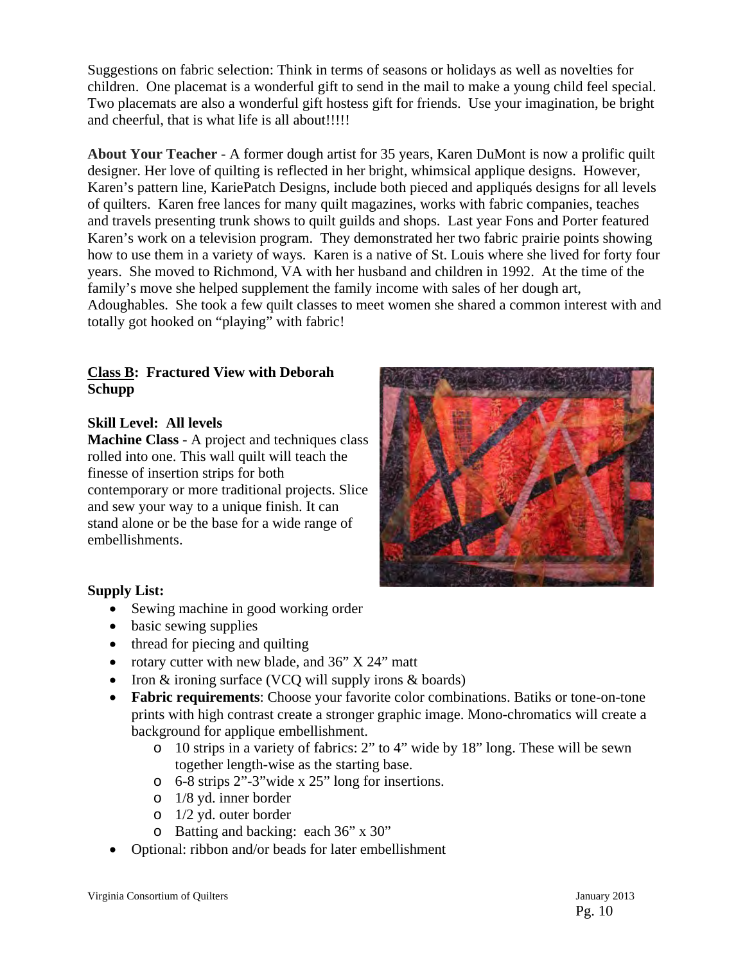Suggestions on fabric selection: Think in terms of seasons or holidays as well as novelties for children. One placemat is a wonderful gift to send in the mail to make a young child feel special. Two placemats are also a wonderful gift hostess gift for friends. Use your imagination, be bright and cheerful, that is what life is all about!!!!!

**About Your Teacher -** A former dough artist for 35 years, Karen DuMont is now a prolific quilt designer. Her love of quilting is reflected in her bright, whimsical applique designs. However, Karen's pattern line, KariePatch Designs, include both pieced and appliqués designs for all levels of quilters. Karen free lances for many quilt magazines, works with fabric companies, teaches and travels presenting trunk shows to quilt guilds and shops. Last year Fons and Porter featured Karen's work on a television program. They demonstrated her two fabric prairie points showing how to use them in a variety of ways. Karen is a native of St. Louis where she lived for forty four years. She moved to Richmond, VA with her husband and children in 1992. At the time of the family's move she helped supplement the family income with sales of her dough art, Adoughables. She took a few quilt classes to meet women she shared a common interest with and totally got hooked on "playing" with fabric!

#### **Class B: Fractured View with Deborah Schupp**

### **Skill Level: All levels**

**Machine Class** - A project and techniques class rolled into one. This wall quilt will teach the finesse of insertion strips for both contemporary or more traditional projects. Slice and sew your way to a unique finish. It can stand alone or be the base for a wide range of embellishments.



# **Supply List:**

- Sewing machine in good working order
- basic sewing supplies
- thread for piecing and quilting
- rotary cutter with new blade, and 36" X 24" matt
- Iron  $&$  ironing surface (VCQ will supply irons  $&$  boards)
- **Fabric requirements**: Choose your favorite color combinations. Batiks or tone-on-tone prints with high contrast create a stronger graphic image. Mono-chromatics will create a background for applique embellishment.
	- o 10 strips in a variety of fabrics: 2" to 4" wide by 18" long. These will be sewn together length-wise as the starting base.
	- o 6-8 strips 2"-3"wide x 25" long for insertions.
	- o 1/8 yd. inner border
	- o 1/2 yd. outer border
	- o Batting and backing: each 36" x 30"
- Optional: ribbon and/or beads for later embellishment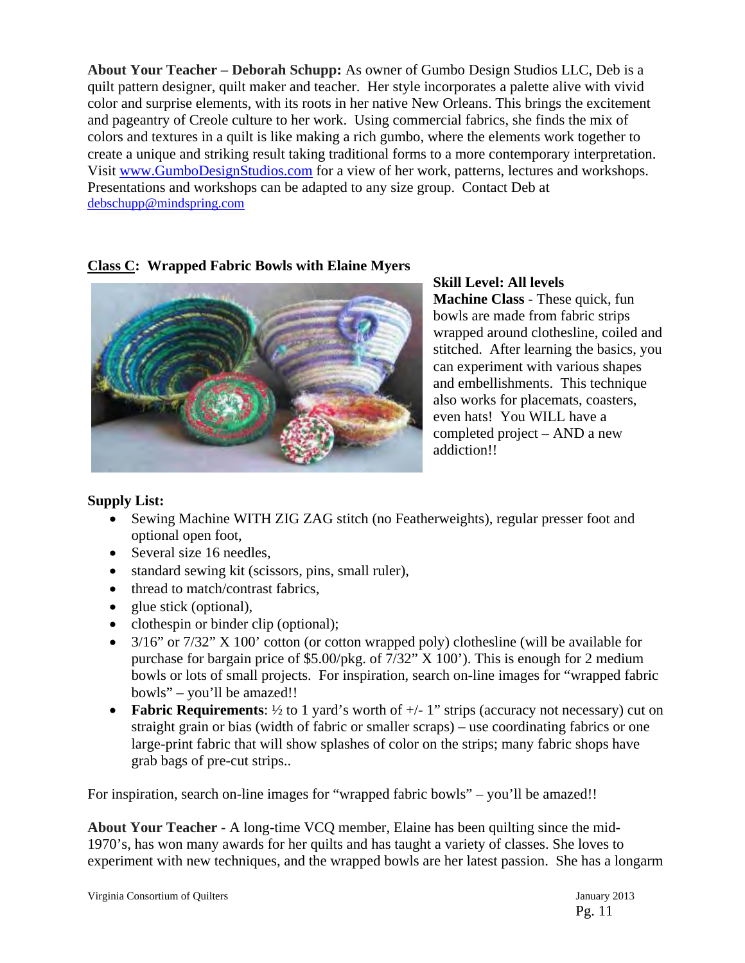**About Your Teacher – Deborah Schupp:** As owner of Gumbo Design Studios LLC, Deb is a quilt pattern designer, quilt maker and teacher. Her style incorporates a palette alive with vivid color and surprise elements, with its roots in her native New Orleans. This brings the excitement and pageantry of Creole culture to her work. Using commercial fabrics, she finds the mix of colors and textures in a quilt is like making a rich gumbo, where the elements work together to create a unique and striking result taking traditional forms to a more contemporary interpretation. Visit www.GumboDesignStudios.com for a view of her work, patterns, lectures and workshops. Presentations and workshops can be adapted to any size group. Contact Deb at debschupp@mindspring.com

# **Class C: Wrapped Fabric Bowls with Elaine Myers**



**Skill Level: All levels Machine Class** - These quick, fun bowls are made from fabric strips wrapped around clothesline, coiled and stitched. After learning the basics, you can experiment with various shapes and embellishments. This technique also works for placemats, coasters, even hats! You WILL have a completed project – AND a new addiction!!

# **Supply List:**

- Sewing Machine WITH ZIG ZAG stitch (no Featherweights), regular presser foot and optional open foot,
- Several size 16 needles,
- standard sewing kit (scissors, pins, small ruler),
- thread to match/contrast fabrics,
- glue stick (optional),
- clothespin or binder clip (optional);
- $\bullet$  3/16" or 7/32" X 100" cotton (or cotton wrapped poly) clothesline (will be available for purchase for bargain price of \$5.00/pkg. of 7/32" X 100'). This is enough for 2 medium bowls or lots of small projects. For inspiration, search on-line images for "wrapped fabric bowls" – you'll be amazed!!
- **Fabric Requirements:** 1/2 to 1 yard's worth of  $+/- 1$ " strips (accuracy not necessary) cut on straight grain or bias (width of fabric or smaller scraps) – use coordinating fabrics or one large-print fabric that will show splashes of color on the strips; many fabric shops have grab bags of pre-cut strips..

For inspiration, search on-line images for "wrapped fabric bowls" – you'll be amazed!!

**About Your Teacher -** A long-time VCQ member, Elaine has been quilting since the mid-1970's, has won many awards for her quilts and has taught a variety of classes. She loves to experiment with new techniques, and the wrapped bowls are her latest passion. She has a longarm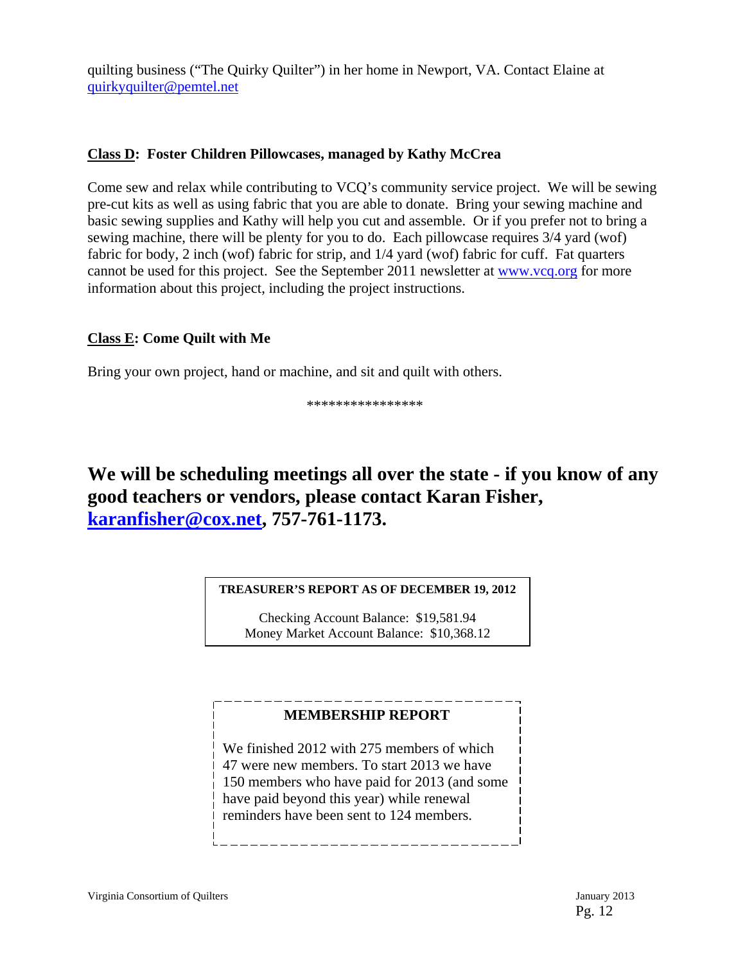quilting business ("The Quirky Quilter") in her home in Newport, VA. Contact Elaine at quirkyquilter@pemtel.net

### **Class D: Foster Children Pillowcases, managed by Kathy McCrea**

Come sew and relax while contributing to VCQ's community service project. We will be sewing pre-cut kits as well as using fabric that you are able to donate. Bring your sewing machine and basic sewing supplies and Kathy will help you cut and assemble. Or if you prefer not to bring a sewing machine, there will be plenty for you to do. Each pillowcase requires 3/4 yard (wof) fabric for body, 2 inch (wof) fabric for strip, and 1/4 yard (wof) fabric for cuff. Fat quarters cannot be used for this project. See the September 2011 newsletter at www.vcq.org for more information about this project, including the project instructions.

# **Class E: Come Quilt with Me**

Bring your own project, hand or machine, and sit and quilt with others.

\*\*\*\*\*\*\*\*\*\*\*\*\*\*\*\*

**We will be scheduling meetings all over the state - if you know of any good teachers or vendors, please contact Karan Fisher, karanfisher@cox.net, 757-761-1173.** 

#### **TREASURER'S REPORT AS OF DECEMBER 19, 2012**

Checking Account Balance: \$19,581.94 Money Market Account Balance: \$10,368.12

### **MEMBERSHIP REPORT**

We finished 2012 with 275 members of which 47 were new members. To start 2013 we have 150 members who have paid for 2013 (and some have paid beyond this year) while renewal reminders have been sent to 124 members.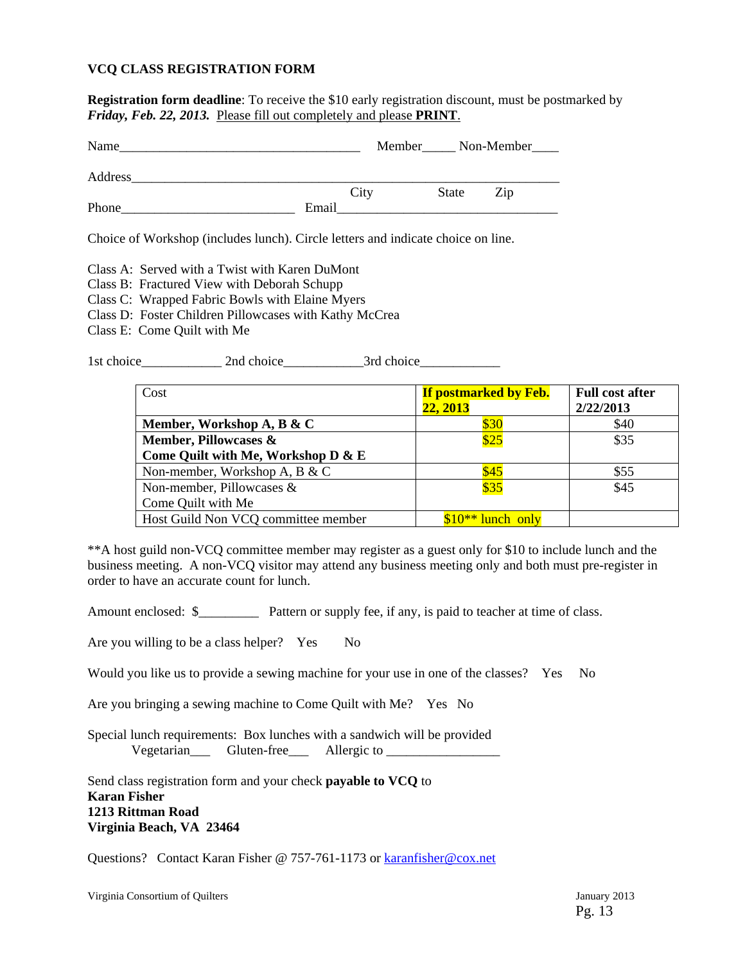#### **VCQ CLASS REGISTRATION FORM**

**Registration form deadline**: To receive the \$10 early registration discount, must be postmarked by *Friday, Feb. 22, 2013.* Please fill out completely and please **PRINT**.

| Name    |       | Member<br><u> Mon-Member</u> |       |     |  |
|---------|-------|------------------------------|-------|-----|--|
| Address |       |                              |       |     |  |
|         | City  |                              | State | Zip |  |
| Phone   | Email |                              |       |     |  |

Choice of Workshop (includes lunch). Circle letters and indicate choice on line.

Class A: Served with a Twist with Karen DuMont

- Class B: Fractured View with Deborah Schupp
- Class C: Wrapped Fabric Bowls with Elaine Myers
- Class D: Foster Children Pillowcases with Kathy McCrea
- Class E: Come Quilt with Me

1st choice\_\_\_\_\_\_\_\_\_\_\_\_\_\_\_\_ 2nd choice\_\_\_\_\_\_\_\_\_\_\_\_\_\_\_\_\_3rd choice\_\_\_\_\_\_\_\_\_\_\_\_\_\_\_\_

| Cost                                | <b>If postmarked by Feb.</b><br>22, 2013 | <b>Full cost after</b><br>2/22/2013 |
|-------------------------------------|------------------------------------------|-------------------------------------|
| Member, Workshop A, B & C           | \$30                                     | \$40                                |
| Member, Pillowcases &               | \$25                                     | \$35                                |
| Come Quilt with Me, Workshop D & E  |                                          |                                     |
| Non-member, Workshop A, B & C       | \$45                                     | \$55                                |
| Non-member, Pillowcases &           | \$35                                     | \$45                                |
| Come Quilt with Me                  |                                          |                                     |
| Host Guild Non VCQ committee member | $$10**$ lunch only                       |                                     |

\*\*A host guild non-VCQ committee member may register as a guest only for \$10 to include lunch and the business meeting. A non-VCQ visitor may attend any business meeting only and both must pre-register in order to have an accurate count for lunch.

Amount enclosed: \$<br>Pattern or supply fee, if any, is paid to teacher at time of class.

Are you willing to be a class helper? Yes No

Would you like us to provide a sewing machine for your use in one of the classes? Yes No

Are you bringing a sewing machine to Come Quilt with Me? Yes No

Special lunch requirements: Box lunches with a sandwich will be provided Vegetarian Gluten-free Allergic to

Send class registration form and your check **payable to VCQ** to **Karan Fisher 1213 Rittman Road Virginia Beach, VA 23464** 

Questions? Contact Karan Fisher @ 757-761-1173 or karanfisher@cox.net